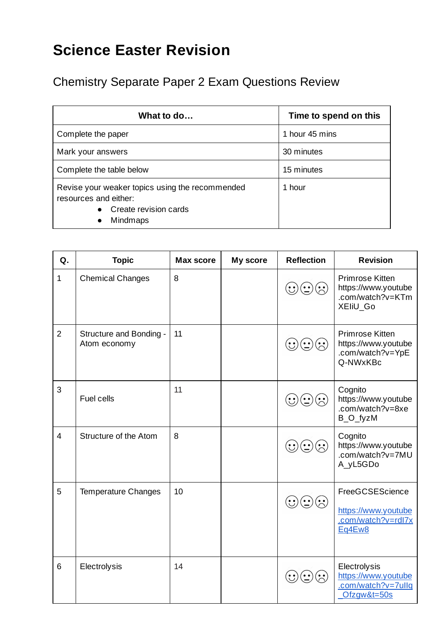## **Science Easter Revision**

Chemistry Separate Paper 2 Exam Questions Review

| What to do                                                                                                                 | Time to spend on this |  |
|----------------------------------------------------------------------------------------------------------------------------|-----------------------|--|
| Complete the paper                                                                                                         | 1 hour 45 mins        |  |
| Mark your answers                                                                                                          | 30 minutes            |  |
| Complete the table below                                                                                                   | 15 minutes            |  |
| Revise your weaker topics using the recommended<br>resources and either:<br>Create revision cards<br>Mindmaps<br>$\bullet$ | 1 hour                |  |

| Q.             | <b>Topic</b>                            | <b>Max score</b> | My score | <b>Reflection</b>          | <b>Revision</b>                                                          |
|----------------|-----------------------------------------|------------------|----------|----------------------------|--------------------------------------------------------------------------|
| $\mathbf{1}$   | <b>Chemical Changes</b>                 | 8                |          | $\bigodot\bigodot\bigodot$ | Primrose Kitten<br>https://www.youtube<br>.com/watch?v=KTm<br>XEIIU_Go   |
| $\overline{2}$ | Structure and Bonding -<br>Atom economy | 11               |          | $\mathbb{C}(\mathbb{C})$   | Primrose Kitten<br>https://www.youtube<br>.com/watch?v=YpE<br>Q-NWxKBc   |
| 3              | Fuel cells                              | 11               |          |                            | Cognito<br>https://www.youtube<br>.com/watch?v=8xe<br>B_O_fyzM           |
| $\overline{4}$ | Structure of the Atom                   | 8                |          | $\mathbf{C}(\mathbf{C})$   | Cognito<br>https://www.youtube<br>.com/watch?v=7MU<br>A_yL5GDo           |
| 5              | <b>Temperature Changes</b>              | 10               |          |                            | FreeGCSEScience<br>https://www.youtube<br>.com/watch?v=rdl7x<br>Eq4Ew8   |
| 6              | Electrolysis                            | 14               |          |                            | Electrolysis<br>https://www.youtube<br>.com/watch?v=7ullq<br>Ofzgw&t=50s |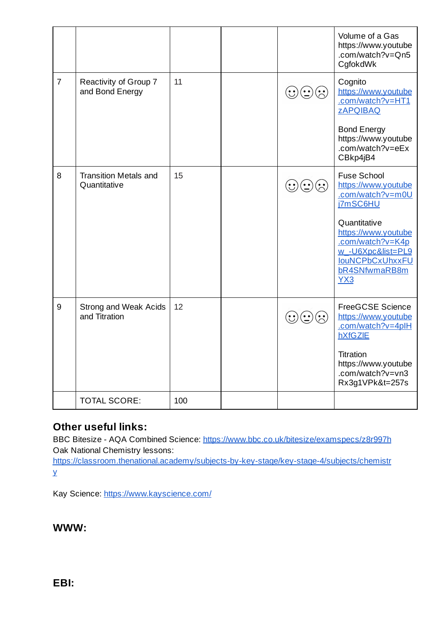|                |                                              |     |                                      | Volume of a Gas<br>https://www.youtube<br>.com/watch?v=Qn5<br>CgfokdWk                                                         |
|----------------|----------------------------------------------|-----|--------------------------------------|--------------------------------------------------------------------------------------------------------------------------------|
| $\overline{7}$ | Reactivity of Group 7<br>and Bond Energy     | 11  | $\mathbf{\hat{C}}(\mathbf{\hat{C}})$ | Cognito<br>https://www.youtube<br>.com/watch?v=HT1<br><b>ZAPOIBAQ</b>                                                          |
|                |                                              |     |                                      | <b>Bond Energy</b><br>https://www.youtube<br>.com/watch?v=eEx<br>CBkp4jB4                                                      |
| 8              | <b>Transition Metals and</b><br>Quantitative | 15  |                                      | <b>Fuse School</b><br>https://www.youtube<br>.com/watch?v=m0U<br>j7mSC6HU                                                      |
|                |                                              |     |                                      | Quantitative<br>https://www.youtube<br>.com/watch?v=K4p<br>w -U6Xpc&list=PL9<br><b>IOUNCPbCxUhxxFU</b><br>bR4SNfwmaRB8m<br>YX3 |
| 9              | Strong and Weak Acids<br>and Titration       | 12  | $\bigodot\bigodot\bigodot$           | <b>FreeGCSE Science</b><br>https://www.youtube<br>.com/watch?v=4plH<br>hXfGZIE                                                 |
|                |                                              |     |                                      | Titration<br>https://www.youtube<br>.com/watch?v=vn3<br>Rx3g1VPk&t=257s                                                        |
|                | <b>TOTAL SCORE:</b>                          | 100 |                                      |                                                                                                                                |

## **Other useful links:**

BBC Bitesize - AQA Combined Science: <https://www.bbc.co.uk/bitesize/examspecs/z8r997h> Oak National Chemistry lessons:

[https://classroom.thenational.academy/subjects-by-key-stage/key-stage-4/subjects/chemistr](https://classroom.thenational.academy/subjects-by-key-stage/key-stage-4/subjects/chemistry) [y](https://classroom.thenational.academy/subjects-by-key-stage/key-stage-4/subjects/chemistry)

Kay Science: <https://www.kayscience.com/>

**WWW:**